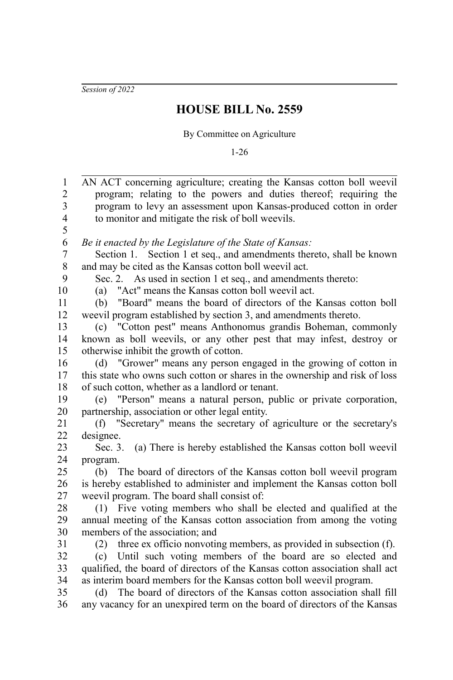*Session of 2022*

## **HOUSE BILL No. 2559**

## By Committee on Agriculture

1-26

| $\mathbf{1}$            | AN ACT concerning agriculture; creating the Kansas cotton boll weevil        |
|-------------------------|------------------------------------------------------------------------------|
| $\overline{c}$          | program; relating to the powers and duties thereof; requiring the            |
| 3                       | program to levy an assessment upon Kansas-produced cotton in order           |
| $\overline{\mathbf{4}}$ | to monitor and mitigate the risk of boll weevils.                            |
| 5                       |                                                                              |
| 6                       | Be it enacted by the Legislature of the State of Kansas:                     |
| $\boldsymbol{7}$        | Section 1. Section 1 et seq., and amendments thereto, shall be known         |
| $8\,$                   | and may be cited as the Kansas cotton boll weevil act.                       |
| 9                       | Sec. 2. As used in section 1 et seq., and amendments thereto:                |
| 10                      | "Act" means the Kansas cotton boll weevil act.<br>(a)                        |
| 11                      | "Board" means the board of directors of the Kansas cotton boll<br>(b)        |
| 12                      | weevil program established by section 3, and amendments thereto.             |
| 13                      | (c) "Cotton pest" means Anthonomus grandis Boheman, commonly                 |
| 14                      | known as boll weevils, or any other pest that may infest, destroy or         |
| 15                      | otherwise inhibit the growth of cotton.                                      |
| 16                      | "Grower" means any person engaged in the growing of cotton in<br>(d)         |
| 17                      | this state who owns such cotton or shares in the ownership and risk of loss  |
| 18                      | of such cotton, whether as a landlord or tenant.                             |
| 19                      | (e) "Person" means a natural person, public or private corporation,          |
| $20\,$                  | partnership, association or other legal entity.                              |
| 21                      | "Secretary" means the secretary of agriculture or the secretary's<br>(f)     |
| 22                      | designee.                                                                    |
| 23                      | (a) There is hereby established the Kansas cotton boll weevil<br>Sec. $3$ .  |
| 24                      | program.                                                                     |
| 25                      | The board of directors of the Kansas cotton boll weevil program<br>(b)       |
| 26                      | is hereby established to administer and implement the Kansas cotton boll     |
| 27                      | weevil program. The board shall consist of:                                  |
| 28                      | (1) Five voting members who shall be elected and qualified at the            |
| 29                      | annual meeting of the Kansas cotton association from among the voting        |
| 30                      | members of the association; and                                              |
| 31                      | three ex officio nonvoting members, as provided in subsection (f).<br>(2)    |
| 32                      | (c) Until such voting members of the board are so elected and                |
| 33                      | qualified, the board of directors of the Kansas cotton association shall act |
| 34                      | as interim board members for the Kansas cotton boll weevil program.          |
| 35                      | The board of directors of the Kansas cotton association shall fill<br>(d)    |
| 36                      | any vacancy for an unexpired term on the board of directors of the Kansas    |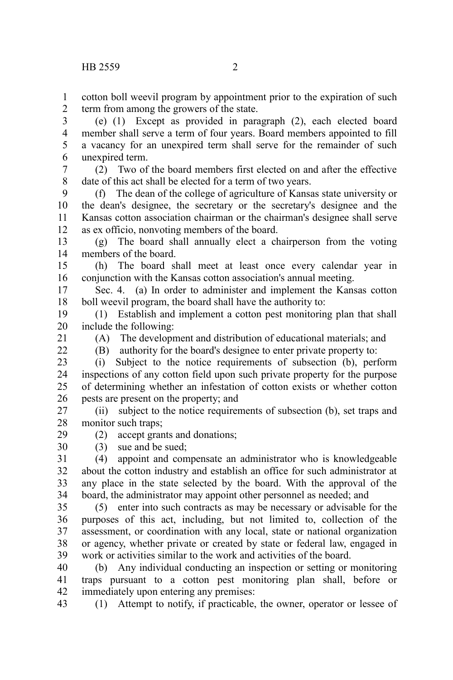cotton boll weevil program by appointment prior to the expiration of such term from among the growers of the state. 1 2

(e) (1) Except as provided in paragraph (2), each elected board member shall serve a term of four years. Board members appointed to fill a vacancy for an unexpired term shall serve for the remainder of such unexpired term. 3 4 5 6

(2) Two of the board members first elected on and after the effective date of this act shall be elected for a term of two years. 7 8

(f) The dean of the college of agriculture of Kansas state university or the dean's designee, the secretary or the secretary's designee and the Kansas cotton association chairman or the chairman's designee shall serve as ex officio, nonvoting members of the board. 9 10 11 12

(g) The board shall annually elect a chairperson from the voting members of the board. 13 14

(h) The board shall meet at least once every calendar year in conjunction with the Kansas cotton association's annual meeting. 15 16

Sec. 4. (a) In order to administer and implement the Kansas cotton boll weevil program, the board shall have the authority to: 17 18

(1) Establish and implement a cotton pest monitoring plan that shall include the following: 19 20

21  $22$ 

29 30 (A) The development and distribution of educational materials; and

(B) authority for the board's designee to enter private property to:

(i) Subject to the notice requirements of subsection (b), perform inspections of any cotton field upon such private property for the purpose of determining whether an infestation of cotton exists or whether cotton pests are present on the property; and 23 24 25 26

(ii) subject to the notice requirements of subsection (b), set traps and monitor such traps; 27 28

(2) accept grants and donations;

(3) sue and be sued;

(4) appoint and compensate an administrator who is knowledgeable about the cotton industry and establish an office for such administrator at any place in the state selected by the board. With the approval of the board, the administrator may appoint other personnel as needed; and 31 32 33 34

(5) enter into such contracts as may be necessary or advisable for the purposes of this act, including, but not limited to, collection of the assessment, or coordination with any local, state or national organization or agency, whether private or created by state or federal law, engaged in work or activities similar to the work and activities of the board. 35 36 37 38 39

(b) Any individual conducting an inspection or setting or monitoring traps pursuant to a cotton pest monitoring plan shall, before or immediately upon entering any premises: 40 41 42

(1) Attempt to notify, if practicable, the owner, operator or lessee of 43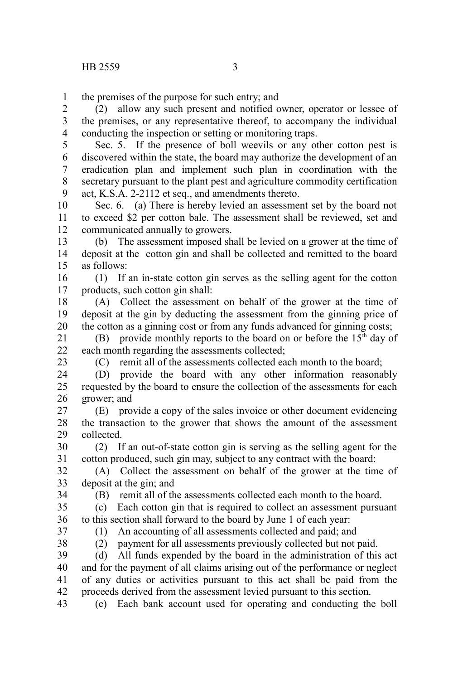the premises of the purpose for such entry; and 1

(2) allow any such present and notified owner, operator or lessee of the premises, or any representative thereof, to accompany the individual conducting the inspection or setting or monitoring traps. 2 3 4

Sec. 5. If the presence of boll weevils or any other cotton pest is discovered within the state, the board may authorize the development of an eradication plan and implement such plan in coordination with the secretary pursuant to the plant pest and agriculture commodity certification act, K.S.A. 2-2112 et seq., and amendments thereto. 5 6 7 8 9

Sec. 6. (a) There is hereby levied an assessment set by the board not to exceed \$2 per cotton bale. The assessment shall be reviewed, set and communicated annually to growers. 10 11 12

(b) The assessment imposed shall be levied on a grower at the time of deposit at the cotton gin and shall be collected and remitted to the board as follows: 13 14 15

(1) If an in-state cotton gin serves as the selling agent for the cotton products, such cotton gin shall: 16 17

(A) Collect the assessment on behalf of the grower at the time of deposit at the gin by deducting the assessment from the ginning price of the cotton as a ginning cost or from any funds advanced for ginning costs; 18 19 20

(B) provide monthly reports to the board on or before the  $15<sup>th</sup>$  day of each month regarding the assessments collected; 21  $22$ 

23

(C) remit all of the assessments collected each month to the board;

(D) provide the board with any other information reasonably requested by the board to ensure the collection of the assessments for each grower; and 24 25 26

(E) provide a copy of the sales invoice or other document evidencing the transaction to the grower that shows the amount of the assessment collected. 27 28 29

(2) If an out-of-state cotton gin is serving as the selling agent for the cotton produced, such gin may, subject to any contract with the board: 30 31

(A) Collect the assessment on behalf of the grower at the time of deposit at the gin; and 32 33

34

(B) remit all of the assessments collected each month to the board.

(c) Each cotton gin that is required to collect an assessment pursuant to this section shall forward to the board by June 1 of each year: 35 36

37 38 (1) An accounting of all assessments collected and paid; and

(2) payment for all assessments previously collected but not paid.

(d) All funds expended by the board in the administration of this act and for the payment of all claims arising out of the performance or neglect of any duties or activities pursuant to this act shall be paid from the proceeds derived from the assessment levied pursuant to this section. 39 40 41 42

(e) Each bank account used for operating and conducting the boll 43